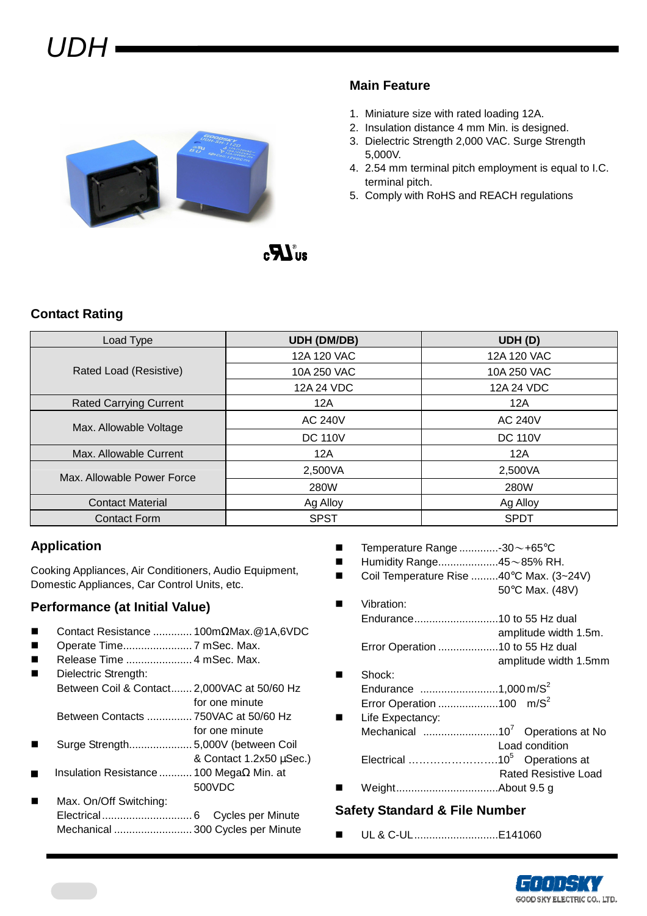## UDH



### **Main Feature**

- 1. Miniature size with rated loading 12A.
- 2. Insulation distance 4 mm Min. is designed.
- 3. Dielectric Strength 2,000 VAC. Surge Strength 5,000V.
- 4. 2.54 mm terminal pitch employment is equal to I.C. terminal pitch.
- 5. Comply with RoHS and REACH regulations



### **Contact Rating**

| Load Type                     | <b>UDH (DM/DB)</b> | UDH (D)        |  |  |
|-------------------------------|--------------------|----------------|--|--|
|                               | 12A 120 VAC        | 12A 120 VAC    |  |  |
| Rated Load (Resistive)        | 10A 250 VAC        | 10A 250 VAC    |  |  |
|                               | 12A 24 VDC         | 12A 24 VDC     |  |  |
| <b>Rated Carrying Current</b> | 12A                | 12A            |  |  |
| Max. Allowable Voltage        | <b>AC 240V</b>     | <b>AC 240V</b> |  |  |
|                               | <b>DC 110V</b>     | <b>DC 110V</b> |  |  |
| Max. Allowable Current        | 12A                | 12A            |  |  |
| Max. Allowable Power Force    | 2,500VA            | 2,500VA        |  |  |
|                               | 280W               | 280W           |  |  |
| <b>Contact Material</b>       | Ag Alloy           | Ag Alloy       |  |  |
| <b>Contact Form</b>           | <b>SPST</b>        | <b>SPDT</b>    |  |  |

### **Application**

Cooking Appliances, Air Conditioners, Audio Equipment, Domestic Appliances, Car Control Units, etc.

### **Performance (at Initial Value)**

- Contact Resistance ............. 100mΩMax.@1A,6VDC
- Operate Time....................... 7 mSec. Max.
- Release Time ...................... 4 mSec. Max.
	- Dielectric Strength: Between Coil & Contact....... 2,000VAC at 50/60 Hz for one minute
	- Between Contacts ............... 750VAC at 50/60 Hz for one minute
- Surge Strength..................... 5,000V (between Coil
- & Contact 1.2x50 µSec.) Insulation Resistance ........... 100 MegaΩ Min. at 500VDC
- Max. On/Off Switching: Electrical.............................. 6 Cycles per Minute Mechanical .......................... 300 Cycles per Minute
- **Temperature Range ..............**-30 $\sim$ +65°C
- Humidity Range....................45~85% RH.
- Coil Temperature Rise .........40°C Max. (3~24V) 50°C Max. (48V)
- **Notation:** Endurance............................10 to 55 Hz dual amplitude width 1.5m. Error Operation ....................10 to 55 Hz dual
- amplitude width 1.5mm ■ Shock: Endurance ..........................1,000 m/S<sup>2</sup>
- Error Operation .......................100 m/S<sup>2</sup> **Life Expectancy:** Mechanical .........................10<sup>7</sup>Operations at No Load condition Electrical …………………….10<sup>5</sup>Operations at Rated Resistive Load
- Weight..................................About 9.5 g

### **Safety Standard & File Number**

UL & C-UL............................E141060